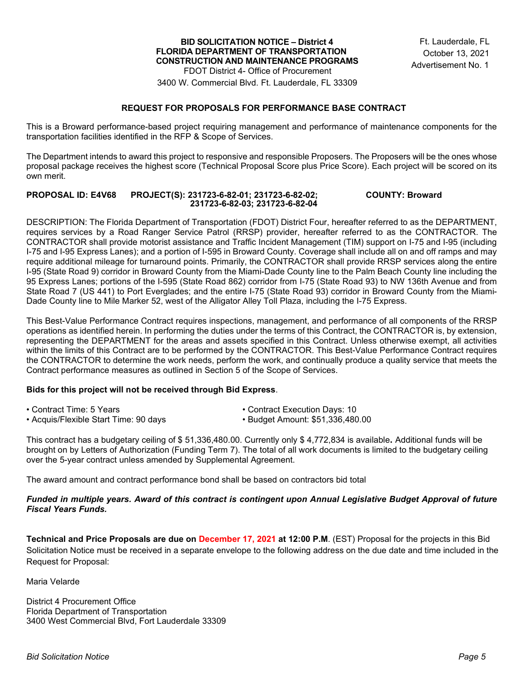3400 W. Commercial Blvd. Ft. Lauderdale, FL 33309

### **REQUEST FOR PROPOSALS FOR PERFORMANCE BASE CONTRACT**

This is a Broward performance-based project requiring management and performance of maintenance components for the transportation facilities identified in the RFP & Scope of Services.

The Department intends to award this project to responsive and responsible Proposers. The Proposers will be the ones whose proposal package receives the highest score (Technical Proposal Score plus Price Score). Each project will be scored on its own merit.

#### **PROPOSAL ID: E4V68 PROJECT(S): 231723-6-82-01; 231723-6-82-02; COUNTY: Broward 231723-6-82-03; 231723-6-82-04**

DESCRIPTION: The Florida Department of Transportation (FDOT) District Four, hereafter referred to as the DEPARTMENT, requires services by a Road Ranger Service Patrol (RRSP) provider, hereafter referred to as the CONTRACTOR. The CONTRACTOR shall provide motorist assistance and Traffic Incident Management (TIM) support on I-75 and I-95 (including I-75 and I-95 Express Lanes); and a portion of I-595 in Broward County. Coverage shall include all on and off ramps and may require additional mileage for turnaround points. Primarily, the CONTRACTOR shall provide RRSP services along the entire I-95 (State Road 9) corridor in Broward County from the Miami-Dade County line to the Palm Beach County line including the 95 Express Lanes; portions of the I-595 (State Road 862) corridor from I-75 (State Road 93) to NW 136th Avenue and from State Road 7 (US 441) to Port Everglades; and the entire I-75 (State Road 93) corridor in Broward County from the Miami-Dade County line to Mile Marker 52, west of the Alligator Alley Toll Plaza, including the I-75 Express.

This Best-Value Performance Contract requires inspections, management, and performance of all components of the RRSP operations as identified herein. In performing the duties under the terms of this Contract, the CONTRACTOR is, by extension, representing the DEPARTMENT for the areas and assets specified in this Contract. Unless otherwise exempt, all activities within the limits of this Contract are to be performed by the CONTRACTOR. This Best-Value Performance Contract requires the CONTRACTOR to determine the work needs, perform the work, and continually produce a quality service that meets the Contract performance measures as outlined in Section 5 of the Scope of Services.

#### **Bids for this project will not be received through Bid Express**.

| • Contract Time: 5 Years                   | • Contract Execution Days: 10       |
|--------------------------------------------|-------------------------------------|
| $\sim$ Agguin/Flovible Ctart Time: 00 deve | $\sim$ Pudset Amount: CE1.336.480.0 |

• Acquis/Flexible Start Time: 90 days • Budget Amount: \$51,336,480.00

This contract has a budgetary ceiling of \$ 51,336,480.00. Currently only \$ 4,772,834 is available**.** Additional funds will be brought on by Letters of Authorization (Funding Term 7). The total of all work documents is limited to the budgetary ceiling over the 5-year contract unless amended by Supplemental Agreement.

The award amount and contract performance bond shall be based on contractors bid total

#### *Funded in multiple years. Award of this contract is contingent upon Annual Legislative Budget Approval of future Fiscal Years Funds.*

**Technical and Price Proposals are due on December 17, 2021 at 12:00 P.M**. (EST) Proposal for the projects in this Bid Solicitation Notice must be received in a separate envelope to the following address on the due date and time included in the Request for Proposal:

Maria Velarde

District 4 Procurement Office Florida Department of Transportation 3400 West Commercial Blvd, Fort Lauderdale 33309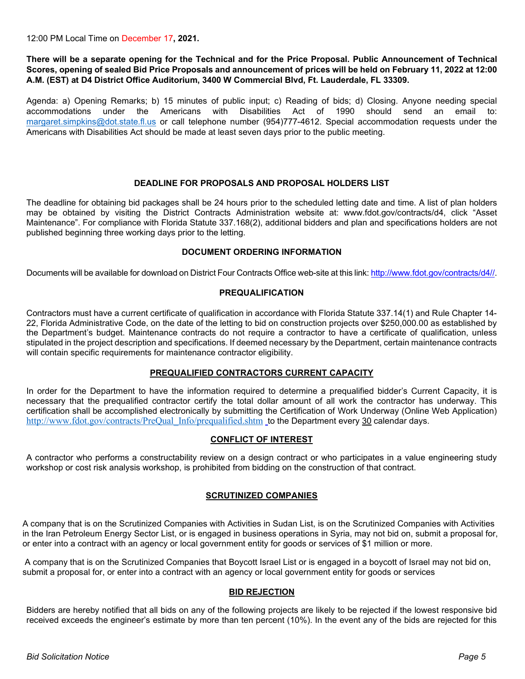12:00 PM Local Time on December 17**, 2021.**

**There will be a separate opening for the Technical and for the Price Proposal. Public Announcement of Technical Scores, opening of sealed Bid Price Proposals and announcement of prices will be held on February 11, 2022 at 12:00 A.M. (EST) at D4 District Office Auditorium, 3400 W Commercial Blvd, Ft. Lauderdale, FL 33309.** 

Agenda: a) Opening Remarks; b) 15 minutes of public input; c) Reading of bids; d) Closing. Anyone needing special accommodations under the Americans with Disabilities Act of 1990 should send an email to: [margaret.simpkins@dot.state.fl.us](mailto:margaret.simpkins@dot.state.fl.us) or call telephone number (954)777-4612. Special accommodation requests under the Americans with Disabilities Act should be made at least seven days prior to the public meeting.

## **DEADLINE FOR PROPOSALS AND PROPOSAL HOLDERS LIST**

The deadline for obtaining bid packages shall be 24 hours prior to the scheduled letting date and time. A list of plan holders may be obtained by visiting the District Contracts Administration website at: www.fdot.gov/contracts/d4, click "Asset Maintenance". For compliance with Florida Statute 337.168(2), additional bidders and plan and specifications holders are not published beginning three working days prior to the letting.

## **DOCUMENT ORDERING INFORMATION**

[Documents will be available for download on District Four Contracts O](https://fdotwp1.dot.state.fl.us/wTBidLetting/LettingMain)ffice web-site at this link[: http://www.fdot.gov/contracts/d4//.](http://www.fdot.gov/contracts/d4/)

#### **PREQUALIFICATION**

Contractors must have a current certificate of qualification in accordance with Florida Statute 337.14(1) and Rule Chapter 14- 22, Florida Administrative Code, on the date of the letting to bid on construction projects over \$250,000.00 as established by the Department's budget. Maintenance contracts do not require a contractor to have a certificate of qualification, unless stipulated in the project description and specifications. If deemed necessary by the Department, certain maintenance contracts will contain specific requirements for maintenance contractor eligibility.

### **PREQUALIFIED CONTRACTORS CURRENT CAPACITY**

In order for the Department to have the information required to determine a prequalified bidder's Current Capacity, it is necessary that the prequalified contractor certify the total dollar amount of all work the contractor has underway. This certification shall be accomplished electronically by submitting the Certification of Work Underway (Online Web Application[\)](http://www.fdot.gov/contracts) [http://www.fdot.gov/contracts/PreQual\\_Info/prequalified.shtm](http://www.fdot.gov/contracts/PreQual_Info/prequalified.shtm) to the Department every 30 calendar days.

#### **CONFLICT OF INTEREST**

A contractor who performs a constructability review on a design contract or who participates in a value engineering study workshop or cost risk analysis workshop, is prohibited from bidding on the construction of that contract.

#### **SCRUTINIZED COMPANIES**

A company that is on the Scrutinized Companies with Activities in Sudan List, is on the Scrutinized Companies with Activities in the Iran Petroleum Energy Sector List, or is engaged in business operations in Syria, may not bid on, submit a proposal for, or enter into a contract with an agency or local government entity for goods or services of \$1 million or more.

 A company that is on the Scrutinized Companies that Boycott Israel List or is engaged in a boycott of Israel may not bid on, submit a proposal for, or enter into a contract with an agency or local government entity for goods or services

### **BID REJECTION**

Bidders are hereby notified that all bids on any of the following projects are likely to be rejected if the lowest responsive bid received exceeds the engineer's estimate by more than ten percent (10%). In the event any of the bids are rejected for this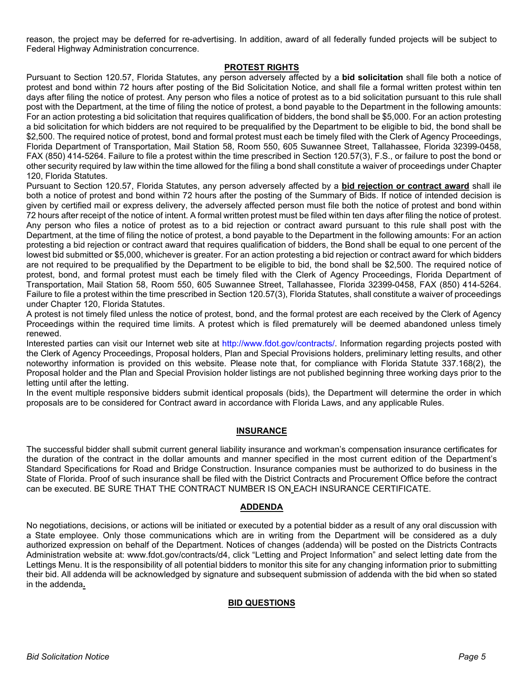reason, the project may be deferred for re-advertising. In addition, award of all federally funded projects will be subject to Federal Highway Administration concurrence.

#### **PROTEST RIGHTS**

Pursuant to Section 120.57, Florida Statutes, any person adversely affected by a **bid solicitation** shall file both a notice of protest and bond within 72 hours after posting of the Bid Solicitation Notice, and shall file a formal written protest within ten days after filing the notice of protest. Any person who files a notice of protest as to a bid solicitation pursuant to this rule shall post with the Department, at the time of filing the notice of protest, a bond payable to the Department in the following amounts: For an action protesting a bid solicitation that requires qualification of bidders, the bond shall be \$5,000. For an action protesting a bid solicitation for which bidders are not required to be prequalified by the Department to be eligible to bid, the bond shall be \$2,500. The required notice of protest, bond and formal protest must each be timely filed with the Clerk of Agency Proceedings, Florida Department of Transportation, Mail Station 58, Room 550, 605 Suwannee Street, Tallahassee, Florida 32399-0458, FAX (850) 414-5264. Failure to file a protest within the time prescribed in Section 120.57(3), F.S., or failure to post the bond or other security required by law within the time allowed for the filing a bond shall constitute a waiver of proceedings under Chapter 120, Florida Statutes.

Pursuant to Section 120.57, Florida Statutes, any person adversely affected by a **bid rejection or contract award** shall ile both a notice of protest and bond within 72 hours after the posting of the Summary of Bids. If notice of intended decision is given by certified mail or express delivery, the adversely affected person must file both the notice of protest and bond within 72 hours after receipt of the notice of intent. A formal written protest must be filed within ten days after filing the notice of protest. Any person who files a notice of protest as to a bid rejection or contract award pursuant to this rule shall post with the Department, at the time of filing the notice of protest, a bond payable to the Department in the following amounts: For an action protesting a bid rejection or contract award that requires qualification of bidders, the Bond shall be equal to one percent of the lowest bid submitted or \$5,000, whichever is greater. For an action protesting a bid rejection or contract award for which bidders are not required to be prequalified by the Department to be eligible to bid, the bond shall be \$2,500. The required notice of protest, bond, and formal protest must each be timely filed with the Clerk of Agency Proceedings, Florida Department of Transportation, Mail Station 58, Room 550, 605 Suwannee Street, Tallahassee, Florida 32399-0458, FAX (850) 414-5264. Failure to file a protest within the time prescribed in Section 120.57(3), Florida Statutes, shall constitute a waiver of proceedings under Chapter 120, Florida Statutes.

A protest is not timely filed unless the notice of protest, bond, and the formal protest are each received by the Clerk of Agency Proceedings within the required time limits. A protest which is filed prematurely will be deemed abandoned unless timely renewed.

Interested parties can visit our Internet web site at http://www.fdot.gov/contracts/. Information regarding projects posted with the Clerk of Agency Proceedings, Proposal holders, Plan and Special Provisions holders, preliminary letting results, and other noteworthy information is provided on this website. Please note that, for compliance with Florida Statute 337.168(2), the Proposal holder and the Plan and Special Provision holder listings are not published beginning three working days prior to the letting until after the letting.

In the event multiple responsive bidders submit identical proposals (bids), the Department will determine the order in which proposals are to be considered for Contract award in accordance with Florida Laws, and any applicable Rules.

#### **INSURANCE**

The successful bidder shall submit current general liability insurance and workman's compensation insurance certificates for the duration of the contract in the dollar amounts and manner specified in the most current edition of the Department's Standard Specifications for Road and Bridge Construction. Insurance companies must be authorized to do business in the State of Florida. Proof of such insurance shall be filed with the District Contracts and Procurement Office before the contract can be executed. BE SURE THAT THE CONTRACT NUMBER IS ON EACH INSURANCE CERTIFICATE.

#### **ADDENDA**

No negotiations, decisions, or actions will be initiated or executed by a potential bidder as a result of any oral discussion with a State employee. Only those communications which are in writing from the Department will be considered as a duly authorized expression on behalf of the Department. Notices of changes (addenda) will be posted on the Districts Contracts Administration website at: www.fdot.gov/contracts/d4, click "Letting and Project Information" and select letting date from the Lettings Menu. It is the responsibility of all potential bidders to monitor this site for any changing information prior to submitting their bid. All addenda will be acknowledged by signature and subsequent submission of addenda with the bid when so stated in the addenda**.** 

#### **BID QUESTIONS**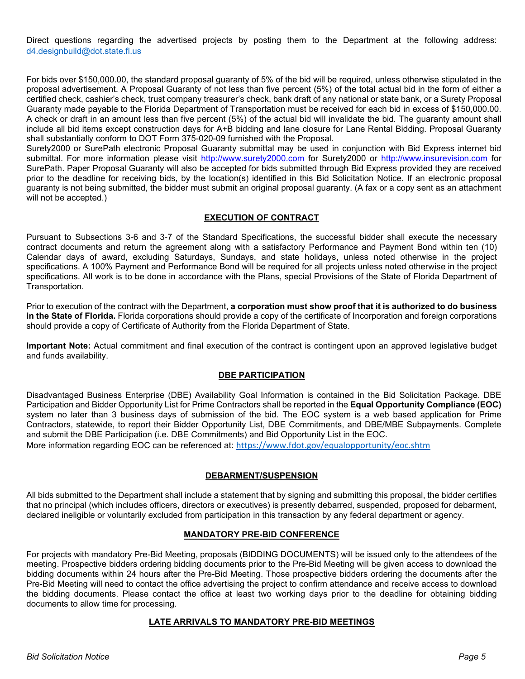Direct questions regarding the advertised projects by posting them to the Department at the following address: [d4.designbuild@dot.state.fl.us](mailto:d4.designbuild@dot.state.fl.us)

For bids over \$150,000.00, the standard proposal guaranty of 5% of the bid will be required, unless otherwise stipulated in the proposal advertisement. A Proposal Guaranty of not less than five percent (5%) of the total actual bid in the form of either a certified check, cashier's check, trust company treasurer's check, bank draft of any national or state bank, or a Surety Proposal Guaranty made payable to the Florida Department of Transportation must be received for each bid in excess of \$150,000.00. A check or draft in an amount less than five percent (5%) of the actual bid will invalidate the bid. The guaranty amount shall include all bid items except construction days for A+B bidding and lane closure for Lane Rental Bidding. Proposal Guaranty shall substantially conform to DOT Form 375-020-09 furnished with the Proposal.

Surety2000 or SurePath electronic Proposal Guaranty submittal may be used in conjunction with Bid Express internet bid submittal. For more information please visit http://www.surety2000.com for Surety2000 or http://www.insurevision.com for SurePath. Paper Proposal Guaranty will also be accepted for bids submitted through Bid Express provided they are received prior to the deadline for receiving bids, by the location(s) identified in this Bid Solicitation Notice. If an electronic proposal guaranty is not being submitted, the bidder must submit an original proposal guaranty. (A fax or a copy sent as an attachment will not be accepted.)

## **EXECUTION OF CONTRACT**

Pursuant to Subsections 3-6 and 3-7 of the Standard Specifications, the successful bidder shall execute the necessary contract documents and return the agreement along with a satisfactory Performance and Payment Bond within ten (10) Calendar days of award, excluding Saturdays, Sundays, and state holidays, unless noted otherwise in the project specifications. A 100% Payment and Performance Bond will be required for all projects unless noted otherwise in the project specifications. All work is to be done in accordance with the Plans, special Provisions of the State of Florida Department of Transportation.

Prior to execution of the contract with the Department, **a corporation must show proof that it is authorized to do business in the State of Florida.** Florida corporations should provide a copy of the certificate of Incorporation and foreign corporations should provide a copy of Certificate of Authority from the Florida Department of State.

**Important Note:** Actual commitment and final execution of the contract is contingent upon an approved legislative budget and funds availability.

#### **DBE PARTICIPATION**

Disadvantaged Business Enterprise (DBE) Availability Goal Information is contained in the Bid Solicitation Package. DBE Participation and Bidder Opportunity List for Prime Contractors shall be reported in the **Equal Opportunity Compliance (EOC)**  system no later than 3 business days of submission of the bid. The EOC system is a web based application for Prime Contractors, statewide, to report their Bidder Opportunity List, DBE Commitments, and DBE/MBE Subpayments. Complete and submit the DBE Participation (i.e. DBE Commitments) and Bid Opportunity List in the EOC.

More information regarding EOC can be referenced at: <https://www.fdot.gov/equalopportunity/eoc.shtm>

#### **DEBARMENT/SUSPENSION**

All bids submitted to the Department shall include a statement that by signing and submitting this proposal, the bidder certifies that no principal (which includes officers, directors or executives) is presently debarred, suspended, proposed for debarment, declared ineligible or voluntarily excluded from participation in this transaction by any federal department or agency.

#### **MANDATORY PRE-BID CONFERENCE**

For projects with mandatory Pre-Bid Meeting, proposals (BIDDING DOCUMENTS) will be issued only to the attendees of the meeting. Prospective bidders ordering bidding documents prior to the Pre-Bid Meeting will be given access to download the bidding documents within 24 hours after the Pre-Bid Meeting. Those prospective bidders ordering the documents after the Pre-Bid Meeting will need to contact the office advertising the project to confirm attendance and receive access to download the bidding documents. Please contact the office at least two working days prior to the deadline for obtaining bidding documents to allow time for processing.

#### **LATE ARRIVALS TO MANDATORY PRE-BID MEETINGS**